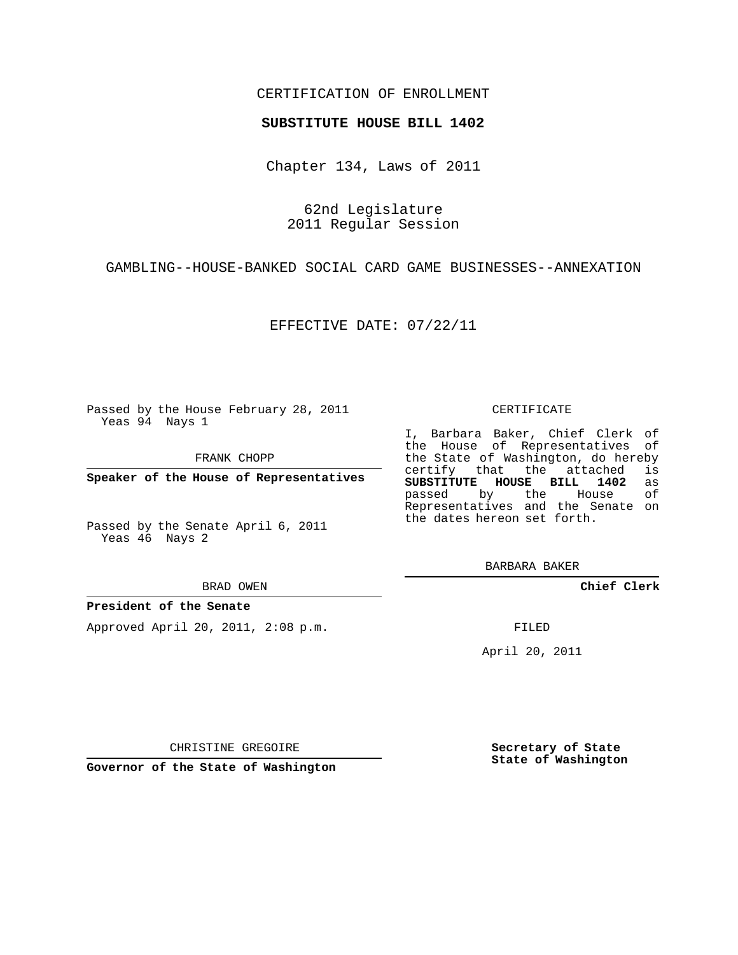## CERTIFICATION OF ENROLLMENT

### **SUBSTITUTE HOUSE BILL 1402**

Chapter 134, Laws of 2011

62nd Legislature 2011 Regular Session

GAMBLING--HOUSE-BANKED SOCIAL CARD GAME BUSINESSES--ANNEXATION

EFFECTIVE DATE: 07/22/11

Passed by the House February 28, 2011 Yeas 94 Nays 1

FRANK CHOPP

**Speaker of the House of Representatives**

Passed by the Senate April 6, 2011 Yeas 46 Nays 2

#### BRAD OWEN

### **President of the Senate**

Approved April 20, 2011, 2:08 p.m.

#### CERTIFICATE

I, Barbara Baker, Chief Clerk of the House of Representatives of the State of Washington, do hereby<br>certify that the attached is certify that the attached **SUBSTITUTE HOUSE BILL 1402** as passed by the House Representatives and the Senate on the dates hereon set forth.

BARBARA BAKER

**Chief Clerk**

FILED

April 20, 2011

CHRISTINE GREGOIRE

**Governor of the State of Washington**

**Secretary of State State of Washington**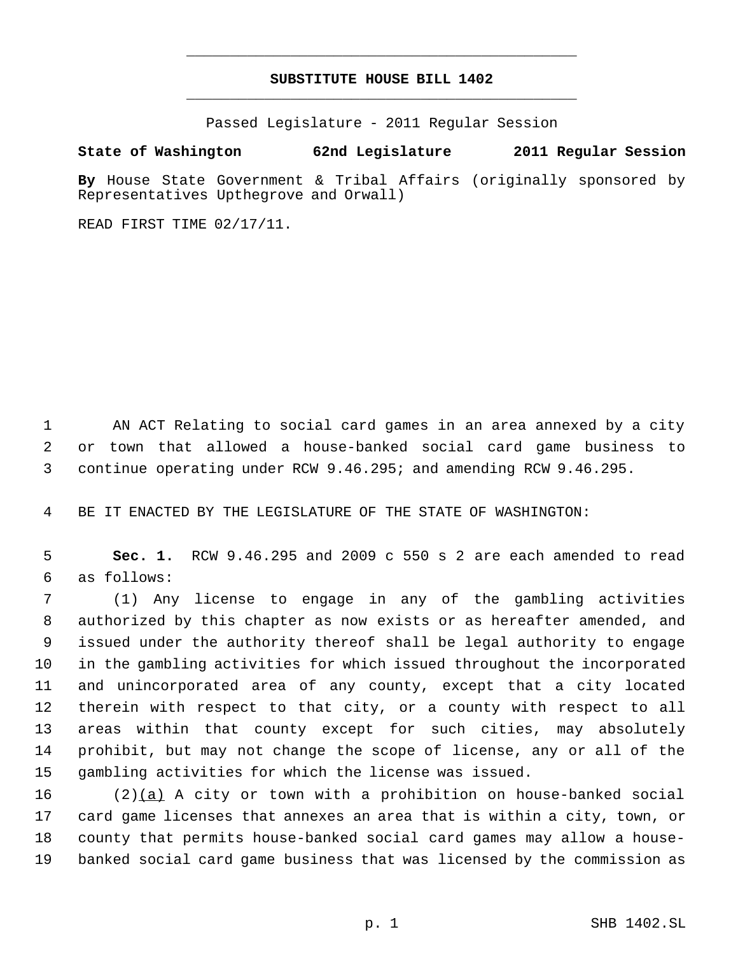# **SUBSTITUTE HOUSE BILL 1402** \_\_\_\_\_\_\_\_\_\_\_\_\_\_\_\_\_\_\_\_\_\_\_\_\_\_\_\_\_\_\_\_\_\_\_\_\_\_\_\_\_\_\_\_\_

\_\_\_\_\_\_\_\_\_\_\_\_\_\_\_\_\_\_\_\_\_\_\_\_\_\_\_\_\_\_\_\_\_\_\_\_\_\_\_\_\_\_\_\_\_

Passed Legislature - 2011 Regular Session

**State of Washington 62nd Legislature 2011 Regular Session**

**By** House State Government & Tribal Affairs (originally sponsored by Representatives Upthegrove and Orwall)

READ FIRST TIME 02/17/11.

 AN ACT Relating to social card games in an area annexed by a city or town that allowed a house-banked social card game business to continue operating under RCW 9.46.295; and amending RCW 9.46.295.

BE IT ENACTED BY THE LEGISLATURE OF THE STATE OF WASHINGTON:

 **Sec. 1.** RCW 9.46.295 and 2009 c 550 s 2 are each amended to read as follows:

 (1) Any license to engage in any of the gambling activities authorized by this chapter as now exists or as hereafter amended, and issued under the authority thereof shall be legal authority to engage in the gambling activities for which issued throughout the incorporated and unincorporated area of any county, except that a city located therein with respect to that city, or a county with respect to all areas within that county except for such cities, may absolutely prohibit, but may not change the scope of license, any or all of the gambling activities for which the license was issued.

 $(2)(a)$  A city or town with a prohibition on house-banked social card game licenses that annexes an area that is within a city, town, or county that permits house-banked social card games may allow a house-banked social card game business that was licensed by the commission as